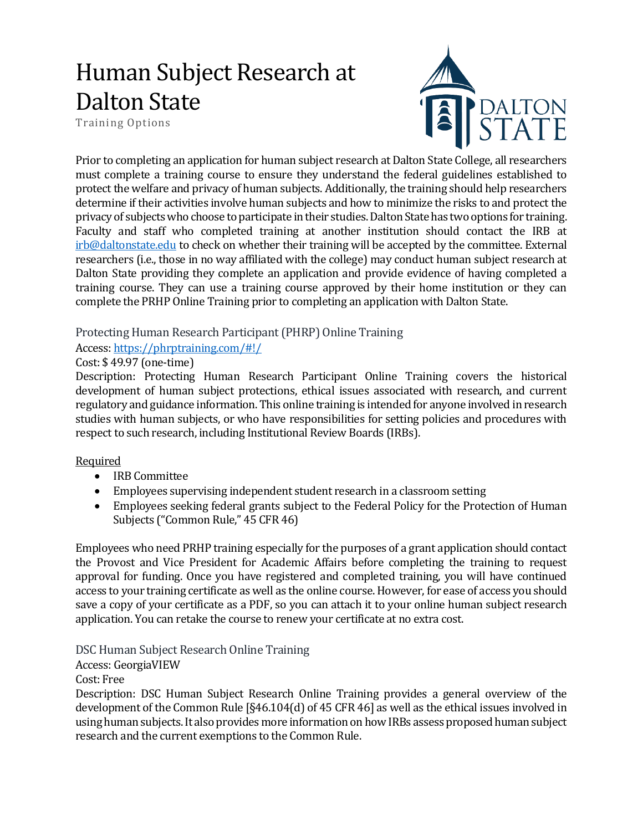# Human Subject Research at Dalton State

Training Options



Prior to completing an application for human subject research at Dalton State College, all researchers must complete a training course to ensure they understand the federal guidelines established to protect the welfare and privacy of human subjects. Additionally, the training should help researchers determine if their activities involve human subjects and how to minimize the risks to and protect the privacy of subjects who choose to participate in their studies.Dalton State has two options for training. Faculty and staff who completed training at another institution should contact the IRB at [irb@daltonstate.edu](mailto:irb@daltonstate.edu) to check on whether their training will be accepted by the committee. External researchers (i.e., those in no way affiliated with the college) may conduct human subject research at Dalton State providing they complete an application and provide evidence of having completed a training course. They can use a training course approved by their home institution or they can complete the PRHP Online Training prior to completing an application with Dalton State.

# Protecting Human Research Participant (PHRP) Online Training

#### Access[: https://phrptraining.com/#!/](https://phrptraining.com/#!/)

## Cost: \$ 49.97 (one-time)

Description: Protecting Human Research Participant Online Training covers the historical development of human subject protections, ethical issues associated with research, and current regulatory and guidance information. This online training is intended for anyone involved in research studies with human subjects, or who have responsibilities for setting policies and procedures with respect to such research, including Institutional Review Boards (IRBs).

## Required

- IRB Committee
- Employees supervising independent student research in a classroom setting
- Employees seeking federal grants subject to the Federal Policy for the Protection of Human Subjects ("Common Rule," 45 CFR 46)

Employees who need PRHP training especially for the purposes of a grant application should contact the Provost and Vice President for Academic Affairs before completing the training to request approval for funding. Once you have registered and completed training, you will have continued access to your training certificate as well as the online course. However, for ease of access you should save a copy of your certificate as a PDF, so you can attach it to your online human subject research application. You can retake the course to renew your certificate at no extra cost.

DSC Human Subject Research Online Training

Access: GeorgiaVIEW

Cost: Free

Description: DSC Human Subject Research Online Training provides a general overview of the development of the Common Rule [§46.104(d) of 45 CFR 46] as well as the ethical issues involved in using human subjects. It also provides more information on how IRBs assess proposed human subject research and the current exemptions to the Common Rule.